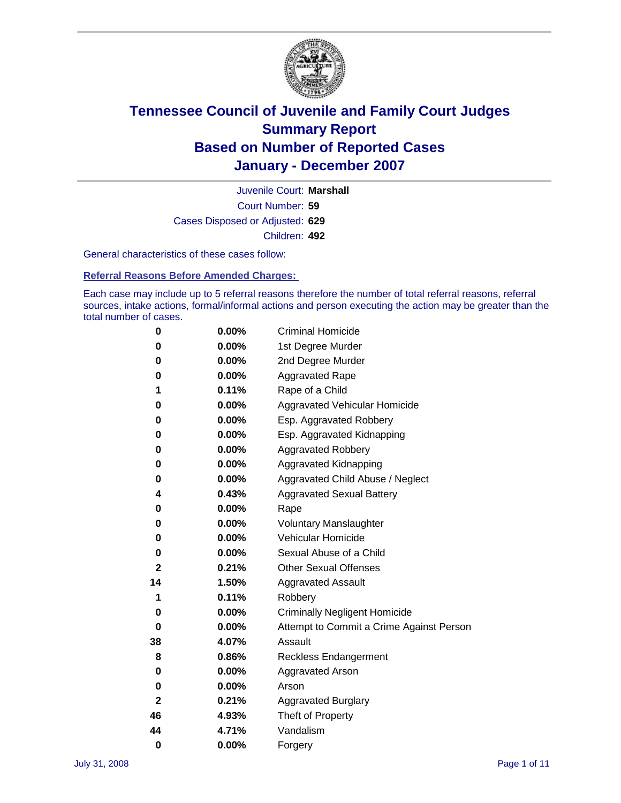

Court Number: **59** Juvenile Court: **Marshall** Cases Disposed or Adjusted: **629** Children: **492**

General characteristics of these cases follow:

**Referral Reasons Before Amended Charges:** 

Each case may include up to 5 referral reasons therefore the number of total referral reasons, referral sources, intake actions, formal/informal actions and person executing the action may be greater than the total number of cases.

| 0            | 0.00%    | <b>Criminal Homicide</b>                 |
|--------------|----------|------------------------------------------|
| 0            | 0.00%    | 1st Degree Murder                        |
| 0            | $0.00\%$ | 2nd Degree Murder                        |
| 0            | 0.00%    | <b>Aggravated Rape</b>                   |
| 1            | 0.11%    | Rape of a Child                          |
| 0            | 0.00%    | Aggravated Vehicular Homicide            |
| 0            | 0.00%    | Esp. Aggravated Robbery                  |
| 0            | 0.00%    | Esp. Aggravated Kidnapping               |
| 0            | 0.00%    | <b>Aggravated Robbery</b>                |
| 0            | 0.00%    | Aggravated Kidnapping                    |
| 0            | 0.00%    | Aggravated Child Abuse / Neglect         |
| 4            | 0.43%    | <b>Aggravated Sexual Battery</b>         |
| 0            | 0.00%    | Rape                                     |
| 0            | 0.00%    | <b>Voluntary Manslaughter</b>            |
| 0            | 0.00%    | Vehicular Homicide                       |
| 0            | 0.00%    | Sexual Abuse of a Child                  |
| $\mathbf{2}$ | 0.21%    | <b>Other Sexual Offenses</b>             |
| 14           | 1.50%    | <b>Aggravated Assault</b>                |
| 1            | 0.11%    | Robbery                                  |
| 0            | 0.00%    | <b>Criminally Negligent Homicide</b>     |
| 0            | 0.00%    | Attempt to Commit a Crime Against Person |
| 38           | 4.07%    | Assault                                  |
| 8            | 0.86%    | <b>Reckless Endangerment</b>             |
| 0            | 0.00%    | <b>Aggravated Arson</b>                  |
| 0            | 0.00%    | Arson                                    |
| 2            | 0.21%    | <b>Aggravated Burglary</b>               |
| 46           | 4.93%    | Theft of Property                        |
| 44           | 4.71%    | Vandalism                                |
| 0            | 0.00%    | Forgery                                  |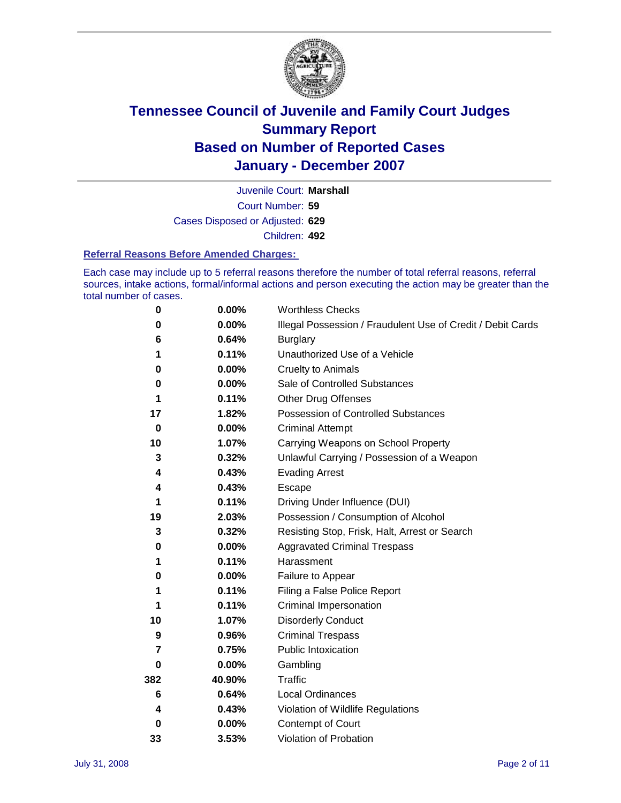

Court Number: **59** Juvenile Court: **Marshall** Cases Disposed or Adjusted: **629** Children: **492**

#### **Referral Reasons Before Amended Charges:**

Each case may include up to 5 referral reasons therefore the number of total referral reasons, referral sources, intake actions, formal/informal actions and person executing the action may be greater than the total number of cases.

| 0        | 0.00%  | <b>Worthless Checks</b>                                     |
|----------|--------|-------------------------------------------------------------|
| 0        | 0.00%  | Illegal Possession / Fraudulent Use of Credit / Debit Cards |
| 6        | 0.64%  | <b>Burglary</b>                                             |
| 1        | 0.11%  | Unauthorized Use of a Vehicle                               |
| 0        | 0.00%  | <b>Cruelty to Animals</b>                                   |
| 0        | 0.00%  | Sale of Controlled Substances                               |
| 1        | 0.11%  | <b>Other Drug Offenses</b>                                  |
| 17       | 1.82%  | <b>Possession of Controlled Substances</b>                  |
| $\bf{0}$ | 0.00%  | <b>Criminal Attempt</b>                                     |
| 10       | 1.07%  | Carrying Weapons on School Property                         |
| 3        | 0.32%  | Unlawful Carrying / Possession of a Weapon                  |
| 4        | 0.43%  | <b>Evading Arrest</b>                                       |
| 4        | 0.43%  | Escape                                                      |
| 1        | 0.11%  | Driving Under Influence (DUI)                               |
| 19       | 2.03%  | Possession / Consumption of Alcohol                         |
| 3        | 0.32%  | Resisting Stop, Frisk, Halt, Arrest or Search               |
| 0        | 0.00%  | <b>Aggravated Criminal Trespass</b>                         |
| 1        | 0.11%  | Harassment                                                  |
| 0        | 0.00%  | Failure to Appear                                           |
| 1        | 0.11%  | Filing a False Police Report                                |
|          | 0.11%  | Criminal Impersonation                                      |
| 10       | 1.07%  | <b>Disorderly Conduct</b>                                   |
| 9        | 0.96%  | <b>Criminal Trespass</b>                                    |
| 7        | 0.75%  | <b>Public Intoxication</b>                                  |
| 0        | 0.00%  | Gambling                                                    |
| 382      | 40.90% | Traffic                                                     |
| 6        | 0.64%  | <b>Local Ordinances</b>                                     |
| 4        | 0.43%  | Violation of Wildlife Regulations                           |
| 0        | 0.00%  | Contempt of Court                                           |
| 33       | 3.53%  | Violation of Probation                                      |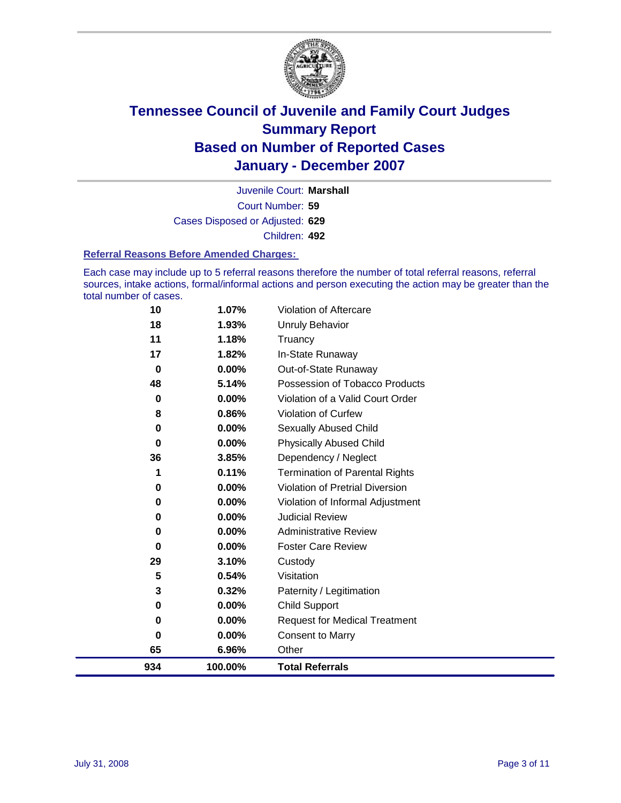

Court Number: **59** Juvenile Court: **Marshall** Cases Disposed or Adjusted: **629** Children: **492**

#### **Referral Reasons Before Amended Charges:**

Each case may include up to 5 referral reasons therefore the number of total referral reasons, referral sources, intake actions, formal/informal actions and person executing the action may be greater than the total number of cases.

| 10       | 1.07%    | Violation of Aftercare                 |
|----------|----------|----------------------------------------|
| 18       | 1.93%    | Unruly Behavior                        |
| 11       | 1.18%    | Truancy                                |
| 17       | 1.82%    | In-State Runaway                       |
| 0        | $0.00\%$ | Out-of-State Runaway                   |
| 48       | 5.14%    | Possession of Tobacco Products         |
| 0        | $0.00\%$ | Violation of a Valid Court Order       |
| 8        | 0.86%    | <b>Violation of Curfew</b>             |
| 0        | $0.00\%$ | <b>Sexually Abused Child</b>           |
| $\bf{0}$ | 0.00%    | <b>Physically Abused Child</b>         |
| 36       | 3.85%    | Dependency / Neglect                   |
| 1        | 0.11%    | <b>Termination of Parental Rights</b>  |
| 0        | $0.00\%$ | <b>Violation of Pretrial Diversion</b> |
| 0        | $0.00\%$ | Violation of Informal Adjustment       |
| 0        | $0.00\%$ | <b>Judicial Review</b>                 |
| 0        | 0.00%    | <b>Administrative Review</b>           |
| 0        | 0.00%    | <b>Foster Care Review</b>              |
| 29       | 3.10%    | Custody                                |
| 5        | 0.54%    | Visitation                             |
| 3        | 0.32%    | Paternity / Legitimation               |
| 0        | 0.00%    | <b>Child Support</b>                   |
| 0        | 0.00%    | <b>Request for Medical Treatment</b>   |
| 0        | 0.00%    | <b>Consent to Marry</b>                |
| 65       | 6.96%    | Other                                  |
| 934      | 100.00%  | <b>Total Referrals</b>                 |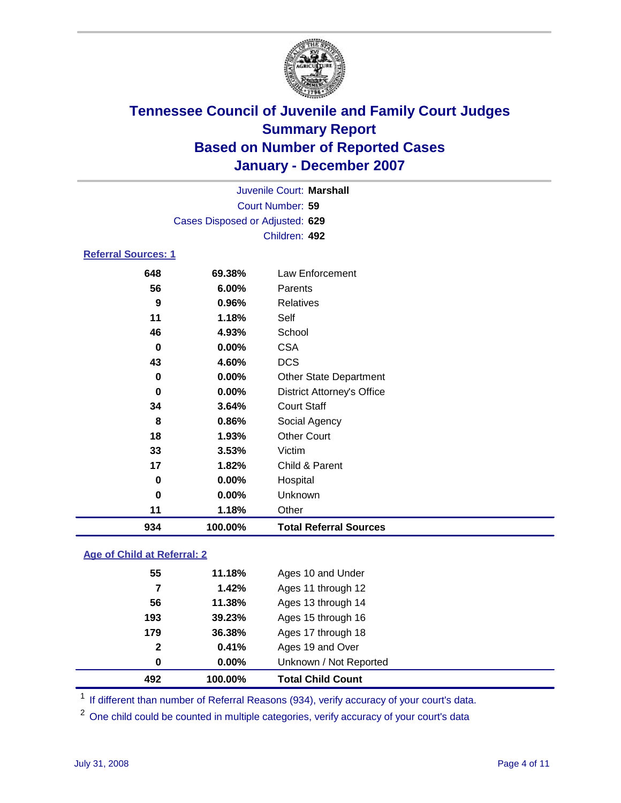

| Juvenile Court: Marshall        |  |
|---------------------------------|--|
| Court Number: 59                |  |
| Cases Disposed or Adjusted: 629 |  |
| Children: 492                   |  |

#### **Referral Sources: 1**

| 934<br>100.00%       | <b>Total Referral Sources</b>     |
|----------------------|-----------------------------------|
| 11<br>1.18%          | Other                             |
| 0.00%<br>$\bf{0}$    | Unknown                           |
| $\mathbf 0$<br>0.00% | Hospital                          |
| 17<br>1.82%          | Child & Parent                    |
| 33<br>3.53%          | Victim                            |
| 18<br>1.93%          | <b>Other Court</b>                |
| 8<br>0.86%           | Social Agency                     |
| 34<br>3.64%          | <b>Court Staff</b>                |
| 0.00%<br>$\bf{0}$    | <b>District Attorney's Office</b> |
| 0.00%<br>$\mathbf 0$ | <b>Other State Department</b>     |
| 43<br>4.60%          | <b>DCS</b>                        |
| 0.00%<br>0           | <b>CSA</b>                        |
| 46<br>4.93%          | School                            |
| 11<br>1.18%          | Self                              |
| 9<br>0.96%           | <b>Relatives</b>                  |
| 56<br>6.00%          | Parents                           |
| 648<br>69.38%        | Law Enforcement                   |

#### **Age of Child at Referral: 2**

| 492          | 100.00% | <b>Total Child Count</b> |
|--------------|---------|--------------------------|
| 0            | 0.00%   | Unknown / Not Reported   |
| $\mathbf{2}$ | 0.41%   | Ages 19 and Over         |
| 179          | 36.38%  | Ages 17 through 18       |
| 193          | 39.23%  | Ages 15 through 16       |
| 56           | 11.38%  | Ages 13 through 14       |
| 7            | 1.42%   | Ages 11 through 12       |
| 55           | 11.18%  | Ages 10 and Under        |
|              |         |                          |

<sup>1</sup> If different than number of Referral Reasons (934), verify accuracy of your court's data.

One child could be counted in multiple categories, verify accuracy of your court's data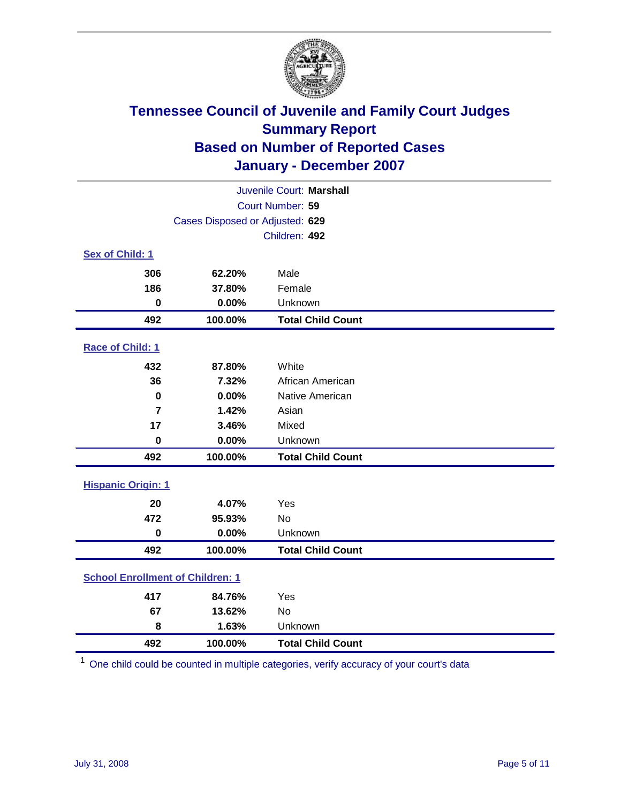

| Juvenile Court: Marshall                |               |                          |  |  |
|-----------------------------------------|---------------|--------------------------|--|--|
| Court Number: 59                        |               |                          |  |  |
| Cases Disposed or Adjusted: 629         |               |                          |  |  |
|                                         | Children: 492 |                          |  |  |
| Sex of Child: 1                         |               |                          |  |  |
| 306                                     | 62.20%        | Male                     |  |  |
| 186                                     | 37.80%        | Female                   |  |  |
| $\bf{0}$                                | 0.00%         | Unknown                  |  |  |
| 492                                     | 100.00%       | <b>Total Child Count</b> |  |  |
| Race of Child: 1                        |               |                          |  |  |
| 432                                     | 87.80%        | White                    |  |  |
| 36                                      | 7.32%         | African American         |  |  |
| $\mathbf 0$                             | 0.00%         | Native American          |  |  |
| $\overline{7}$                          | 1.42%         | Asian                    |  |  |
| 17                                      | 3.46%         | Mixed                    |  |  |
| $\mathbf 0$                             | 0.00%         | Unknown                  |  |  |
| 492                                     | 100.00%       | <b>Total Child Count</b> |  |  |
| <b>Hispanic Origin: 1</b>               |               |                          |  |  |
| 20                                      | 4.07%         | Yes                      |  |  |
| 472                                     | 95.93%        | <b>No</b>                |  |  |
| $\mathbf 0$                             | 0.00%         | Unknown                  |  |  |
| 492                                     | 100.00%       | <b>Total Child Count</b> |  |  |
| <b>School Enrollment of Children: 1</b> |               |                          |  |  |
| 417                                     | 84.76%        | Yes                      |  |  |
| 67                                      | 13.62%        | No                       |  |  |
| 8                                       | 1.63%         | Unknown                  |  |  |
| 492                                     | 100.00%       | <b>Total Child Count</b> |  |  |

One child could be counted in multiple categories, verify accuracy of your court's data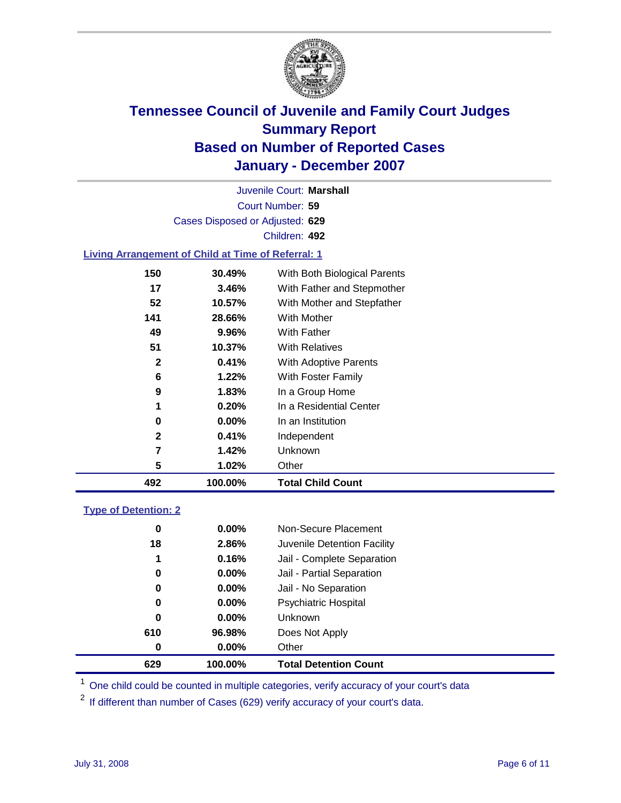

Court Number: **59** Juvenile Court: **Marshall** Cases Disposed or Adjusted: **629** Children: **492**

#### **Living Arrangement of Child at Time of Referral: 1**

| 492          | 100.00%  | <b>Total Child Count</b>     |
|--------------|----------|------------------------------|
| 5            | 1.02%    | Other                        |
| 7            | 1.42%    | Unknown                      |
| 2            | 0.41%    | Independent                  |
| 0            | $0.00\%$ | In an Institution            |
| 1            | $0.20\%$ | In a Residential Center      |
| 9            | $1.83\%$ | In a Group Home              |
| 6            | 1.22%    | With Foster Family           |
| $\mathbf{2}$ | 0.41%    | With Adoptive Parents        |
| 51           | 10.37%   | <b>With Relatives</b>        |
| 49           | 9.96%    | <b>With Father</b>           |
| 141          | 28.66%   | With Mother                  |
| 52           | 10.57%   | With Mother and Stepfather   |
| 17           | 3.46%    | With Father and Stepmother   |
| 150          | 30.49%   | With Both Biological Parents |
|              |          |                              |

#### **Type of Detention: 2**

| 629 | 100.00%  | <b>Total Detention Count</b> |
|-----|----------|------------------------------|
| 0   | $0.00\%$ | Other                        |
| 610 | 96.98%   | Does Not Apply               |
| 0   | $0.00\%$ | <b>Unknown</b>               |
| 0   | $0.00\%$ | <b>Psychiatric Hospital</b>  |
| 0   | $0.00\%$ | Jail - No Separation         |
| 0   | $0.00\%$ | Jail - Partial Separation    |
| 1   | 0.16%    | Jail - Complete Separation   |
| 18  | 2.86%    | Juvenile Detention Facility  |
| 0   | $0.00\%$ | Non-Secure Placement         |
|     |          |                              |

<sup>1</sup> One child could be counted in multiple categories, verify accuracy of your court's data

<sup>2</sup> If different than number of Cases (629) verify accuracy of your court's data.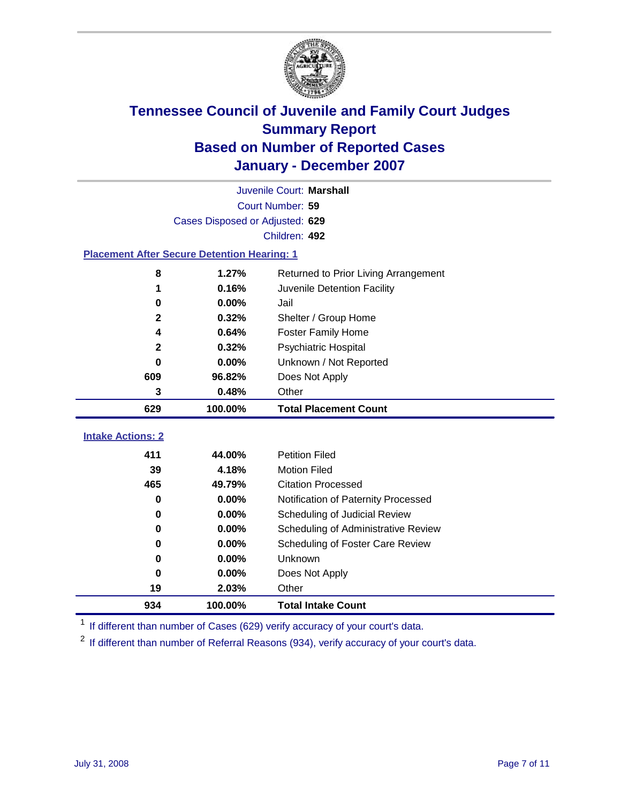

| Juvenile Court: Marshall                           |                                 |                                      |  |  |
|----------------------------------------------------|---------------------------------|--------------------------------------|--|--|
|                                                    | Court Number: 59                |                                      |  |  |
|                                                    | Cases Disposed or Adjusted: 629 |                                      |  |  |
|                                                    |                                 | Children: 492                        |  |  |
| <b>Placement After Secure Detention Hearing: 1</b> |                                 |                                      |  |  |
| 8                                                  | 1.27%                           | Returned to Prior Living Arrangement |  |  |
| 1                                                  | 0.16%                           | Juvenile Detention Facility          |  |  |
| 0                                                  | 0.00%                           | Jail                                 |  |  |
| $\mathbf{2}$                                       | 0.32%                           | Shelter / Group Home                 |  |  |
| 4                                                  | 0.64%                           | <b>Foster Family Home</b>            |  |  |
| $\mathbf 2$                                        | 0.32%                           | Psychiatric Hospital                 |  |  |
| 0                                                  | 0.00%                           | Unknown / Not Reported               |  |  |
| 609                                                | 96.82%                          | Does Not Apply                       |  |  |
| 3                                                  | 0.48%                           | Other                                |  |  |
| 629                                                | 100.00%                         | <b>Total Placement Count</b>         |  |  |
|                                                    |                                 |                                      |  |  |
| <b>Intake Actions: 2</b>                           |                                 |                                      |  |  |
| 411                                                | 44.00%                          | <b>Petition Filed</b>                |  |  |
| 39                                                 | 4.18%                           | <b>Motion Filed</b>                  |  |  |
| 465                                                | 49.79%                          | <b>Citation Processed</b>            |  |  |
| 0                                                  | 0.00%                           | Notification of Paternity Processed  |  |  |
| 0                                                  | 0.00%                           | Scheduling of Judicial Review        |  |  |
| 0                                                  | 0.00%                           | Scheduling of Administrative Review  |  |  |
| 0                                                  | 0.00%                           | Scheduling of Foster Care Review     |  |  |
| 0                                                  | 0.00%                           | Unknown                              |  |  |
| 0                                                  | 0.00%                           | Does Not Apply                       |  |  |
| 19                                                 | 2.03%                           | Other                                |  |  |
| 934                                                | 100.00%                         | <b>Total Intake Count</b>            |  |  |

<sup>1</sup> If different than number of Cases (629) verify accuracy of your court's data.

<sup>2</sup> If different than number of Referral Reasons (934), verify accuracy of your court's data.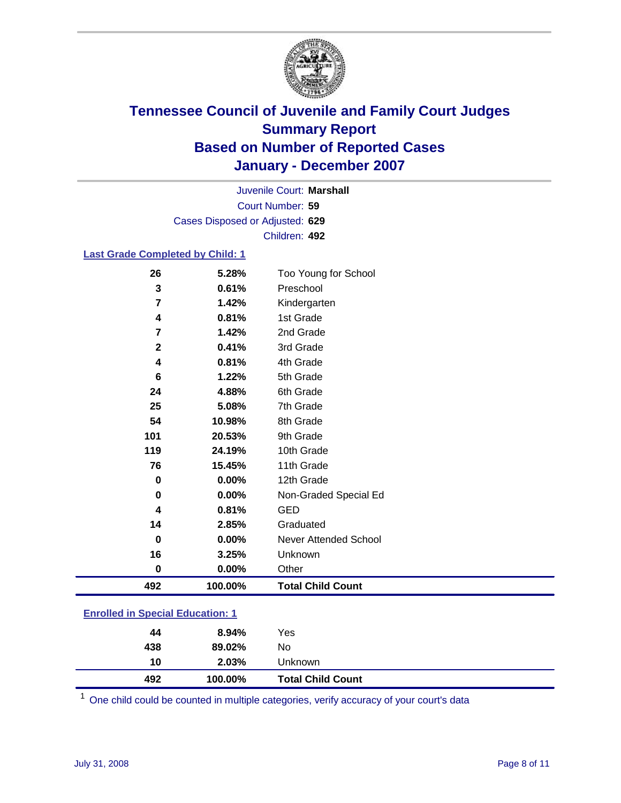

Court Number: **59** Juvenile Court: **Marshall** Cases Disposed or Adjusted: **629** Children: **492**

#### **Last Grade Completed by Child: 1**

| 26          | 5.28%   | Too Young for School     |
|-------------|---------|--------------------------|
| 3           | 0.61%   | Preschool                |
| 7           | 1.42%   | Kindergarten             |
| 4           | 0.81%   | 1st Grade                |
| 7           | 1.42%   | 2nd Grade                |
| $\mathbf 2$ | 0.41%   | 3rd Grade                |
| 4           | 0.81%   | 4th Grade                |
| 6           | 1.22%   | 5th Grade                |
| 24          | 4.88%   | 6th Grade                |
| 25          | 5.08%   | 7th Grade                |
| 54          | 10.98%  | 8th Grade                |
| 101         | 20.53%  | 9th Grade                |
| 119         | 24.19%  | 10th Grade               |
| 76          | 15.45%  | 11th Grade               |
| 0           | 0.00%   | 12th Grade               |
| 0           | 0.00%   | Non-Graded Special Ed    |
| 4           | 0.81%   | <b>GED</b>               |
| 14          | 2.85%   | Graduated                |
| $\bf{0}$    | 0.00%   | Never Attended School    |
| 16          | 3.25%   | Unknown                  |
| 0           | 0.00%   | Other                    |
| 492         | 100.00% | <b>Total Child Count</b> |

### **Enrolled in Special Education: 1**

| 492 | 100.00%  | <b>Total Child Count</b> |  |
|-----|----------|--------------------------|--|
| 10  | 2.03%    | Unknown                  |  |
| 438 | 89.02%   | No                       |  |
| 44  | $8.94\%$ | Yes                      |  |
|     |          |                          |  |

<sup>1</sup> One child could be counted in multiple categories, verify accuracy of your court's data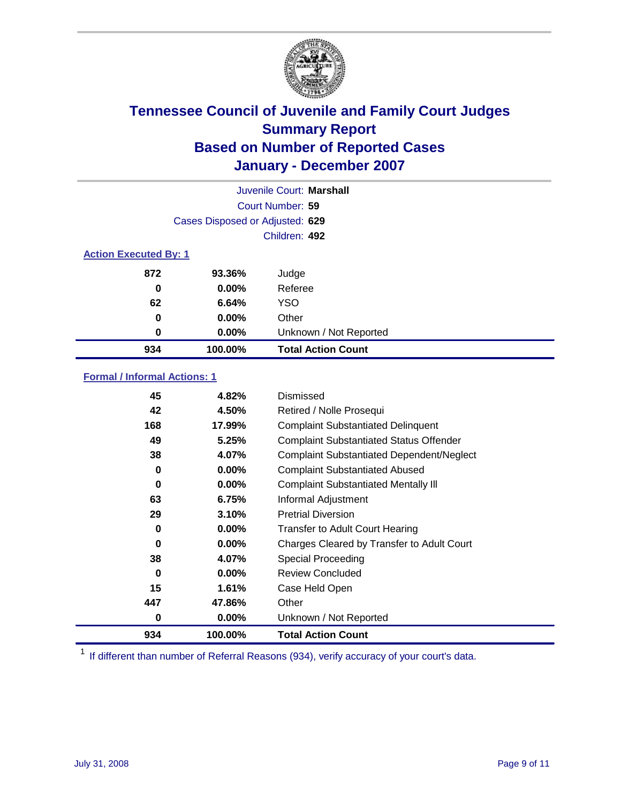

|                              |                                 | Juvenile Court: Marshall  |
|------------------------------|---------------------------------|---------------------------|
|                              |                                 | Court Number: 59          |
|                              | Cases Disposed or Adjusted: 629 |                           |
|                              |                                 | Children: 492             |
| <b>Action Executed By: 1</b> |                                 |                           |
| 872                          | 93.36%                          | Judge                     |
| 0                            | $0.00\%$                        | Referee                   |
| 62                           | 6.64%                           | <b>YSO</b>                |
| 0                            | $0.00\%$                        | Other                     |
| 0                            | $0.00\%$                        | Unknown / Not Reported    |
| 934                          | 100.00%                         | <b>Total Action Count</b> |

### **Formal / Informal Actions: 1**

| 45  | 4.82%    | Dismissed                                        |
|-----|----------|--------------------------------------------------|
| 42  | 4.50%    | Retired / Nolle Prosequi                         |
| 168 | 17.99%   | <b>Complaint Substantiated Delinquent</b>        |
| 49  | 5.25%    | <b>Complaint Substantiated Status Offender</b>   |
| 38  | 4.07%    | <b>Complaint Substantiated Dependent/Neglect</b> |
| 0   | $0.00\%$ | <b>Complaint Substantiated Abused</b>            |
| 0   | $0.00\%$ | <b>Complaint Substantiated Mentally III</b>      |
| 63  | 6.75%    | Informal Adjustment                              |
| 29  | 3.10%    | <b>Pretrial Diversion</b>                        |
| 0   | $0.00\%$ | <b>Transfer to Adult Court Hearing</b>           |
| 0   | $0.00\%$ | Charges Cleared by Transfer to Adult Court       |
| 38  | 4.07%    | Special Proceeding                               |
| 0   | $0.00\%$ | <b>Review Concluded</b>                          |
| 15  | 1.61%    | Case Held Open                                   |
| 447 | 47.86%   | Other                                            |
| 0   | $0.00\%$ | Unknown / Not Reported                           |
| 934 | 100.00%  | <b>Total Action Count</b>                        |

<sup>1</sup> If different than number of Referral Reasons (934), verify accuracy of your court's data.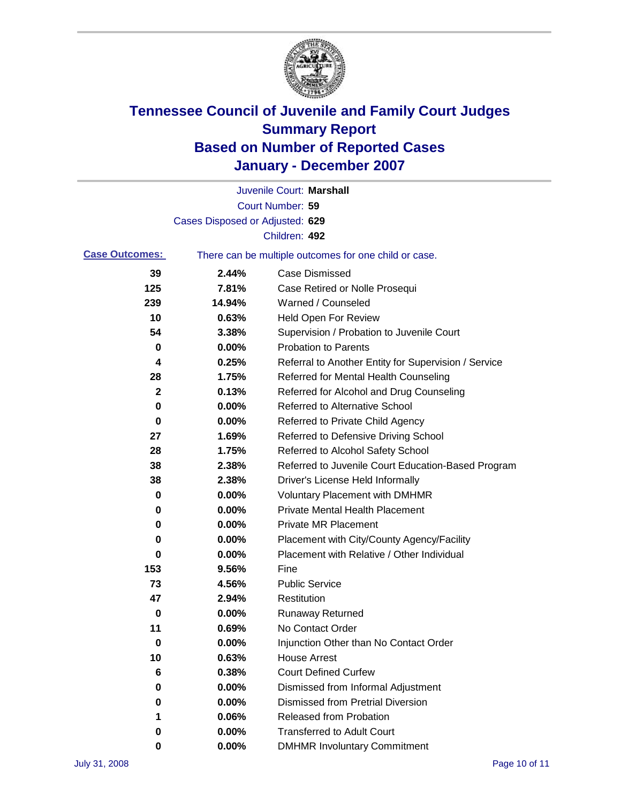

|                       |                                 | Juvenile Court: Marshall                              |
|-----------------------|---------------------------------|-------------------------------------------------------|
|                       |                                 | Court Number: 59                                      |
|                       | Cases Disposed or Adjusted: 629 |                                                       |
|                       |                                 | Children: 492                                         |
| <b>Case Outcomes:</b> |                                 | There can be multiple outcomes for one child or case. |
| 39                    | 2.44%                           | <b>Case Dismissed</b>                                 |
| 125                   | 7.81%                           | Case Retired or Nolle Prosequi                        |
| 239                   | 14.94%                          | Warned / Counseled                                    |
| 10                    | 0.63%                           | <b>Held Open For Review</b>                           |
| 54                    | 3.38%                           | Supervision / Probation to Juvenile Court             |
| 0                     | 0.00%                           | <b>Probation to Parents</b>                           |
| 4                     | 0.25%                           | Referral to Another Entity for Supervision / Service  |
| 28                    | 1.75%                           | Referred for Mental Health Counseling                 |
| $\mathbf{2}$          | 0.13%                           | Referred for Alcohol and Drug Counseling              |
| 0                     | 0.00%                           | <b>Referred to Alternative School</b>                 |
| 0                     | 0.00%                           | Referred to Private Child Agency                      |
| 27                    | 1.69%                           | Referred to Defensive Driving School                  |
| 28                    | 1.75%                           | Referred to Alcohol Safety School                     |
| 38                    | 2.38%                           | Referred to Juvenile Court Education-Based Program    |
| 38                    | 2.38%                           | Driver's License Held Informally                      |
| 0                     | 0.00%                           | <b>Voluntary Placement with DMHMR</b>                 |
| 0                     | 0.00%                           | <b>Private Mental Health Placement</b>                |
| 0                     | 0.00%                           | <b>Private MR Placement</b>                           |
| 0                     | 0.00%                           | Placement with City/County Agency/Facility            |
| 0                     | 0.00%                           | Placement with Relative / Other Individual            |
| 153                   | 9.56%                           | Fine                                                  |
| 73                    | 4.56%                           | <b>Public Service</b>                                 |
| 47                    | 2.94%                           | Restitution                                           |
| 0                     | 0.00%                           | <b>Runaway Returned</b>                               |
| 11                    | 0.69%                           | No Contact Order                                      |
| 0                     | 0.00%                           | Injunction Other than No Contact Order                |
| 10                    | 0.63%                           | <b>House Arrest</b>                                   |
| 6                     | 0.38%                           | <b>Court Defined Curfew</b>                           |
| 0                     | 0.00%                           | Dismissed from Informal Adjustment                    |
| 0                     | 0.00%                           | <b>Dismissed from Pretrial Diversion</b>              |
| 1                     | 0.06%                           | <b>Released from Probation</b>                        |
| 0                     | 0.00%                           | <b>Transferred to Adult Court</b>                     |
| 0                     | 0.00%                           | <b>DMHMR Involuntary Commitment</b>                   |